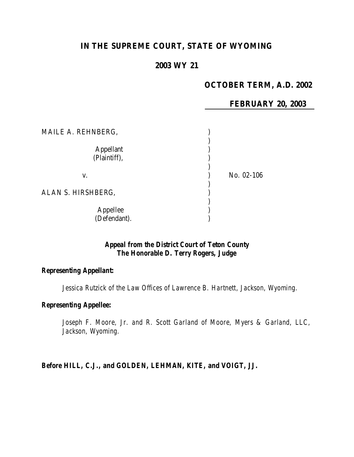## **IN THE SUPREME COURT, STATE OF WYOMING**

#### **2003 WY 21**

# **OCTOBER TERM, A.D. 2002**

**FEBRUARY 20, 2003**

| MAILE A. REHNBERG,               |            |
|----------------------------------|------------|
| <b>Appellant</b><br>(Plaintiff), |            |
| V.                               | No. 02-106 |
| ALAN S. HIRSHBERG,               |            |
| Appellee<br>(Defendant).         |            |

#### *Appeal from the District Court of Teton County The Honorable D. Terry Rogers, Judge*

#### *Representing Appellant:*

*Jessica Rutzick of the Law Offices of Lawrence B. Hartnett, Jackson, Wyoming.*

#### *Representing Appellee:*

*Joseph F. Moore, Jr. and R. Scott Garland of Moore, Myers & Garland, LLC, Jackson, Wyoming.*

*Before HILL, C.J., and GOLDEN, LEHMAN, KITE, and VOIGT, JJ.*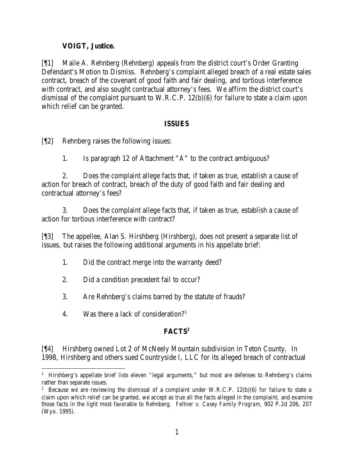#### **VOIGT, Justice.**

[¶1] Maile A. Rehnberg (Rehnberg) appeals from the district court's Order Granting Defendant's Motion to Dismiss. Rehnberg's complaint alleged breach of a real estate sales contract, breach of the covenant of good faith and fair dealing, and tortious interference with contract, and also sought contractual attorney's fees. We affirm the district court's dismissal of the complaint pursuant to W.R.C.P. 12(b)(6) for failure to state a claim upon which relief can be granted.

#### **ISSUES**

[¶2] Rehnberg raises the following issues:

1. Is paragraph 12 of Attachment "A" to the contract ambiguous?

2. Does the complaint allege facts that, if taken as true, establish a cause of action for breach of contract, breach of the duty of good faith and fair dealing and contractual attorney's fees?

3. Does the complaint allege facts that, if taken as true, establish a cause of action for tortious interference with contract?

[¶3] The appellee, Alan S. Hirshberg (Hirshberg), does not present a separate list of issues, but raises the following additional arguments in his appellate brief:

- 1. Did the contract merge into the warranty deed?
- 2. Did a condition precedent fail to occur?
- 3. Are Rehnberg's claims barred by the statute of frauds?
- 4. Was there a lack of consideration?<sup>1</sup>

## **FACTS<sup>2</sup>**

[¶4] Hirshberg owned Lot 2 of McNeely Mountain subdivision in Teton County. In 1998, Hirshberg and others sued Countryside I, LLC for its alleged breach of contractual

 <sup>1</sup> Hirshberg's appellate brief lists eleven "legal arguments," but most are defenses to Rehnberg's claims rather than separate issues.

<sup>&</sup>lt;sup>2</sup> Because we are reviewing the dismissal of a complaint under W.R.C.P. 12(b)(6) for failure to state a claim upon which relief can be granted, we accept as true all the facts alleged in the complaint, and examine those facts in the light most favorable to Rehnberg. *Feltner v. Casey Family Program*, 902 P.2d 206, 207 (Wyo. 1995).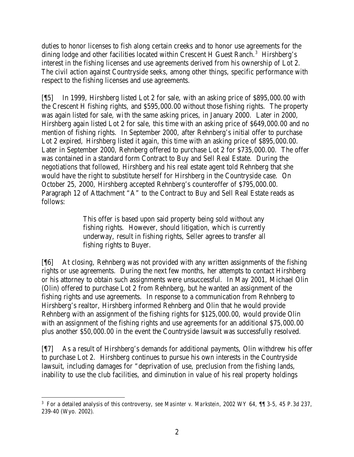duties to honor licenses to fish along certain creeks and to honor use agreements for the dining lodge and other facilities located within Crescent H Guest Ranch.<sup>3</sup> Hirshberg's interest in the fishing licenses and use agreements derived from his ownership of Lot 2. The civil action against Countryside seeks, among other things, specific performance with respect to the fishing licenses and use agreements.

[¶5] In 1999, Hirshberg listed Lot 2 for sale, with an asking price of \$895,000.00 with the Crescent H fishing rights, and \$595,000.00 without those fishing rights. The property was again listed for sale, with the same asking prices, in January 2000. Later in 2000, Hirshberg again listed Lot 2 for sale, this time with an asking price of \$649,000.00 and no mention of fishing rights. In September 2000, after Rehnberg's initial offer to purchase Lot 2 expired, Hirshberg listed it again, this time with an asking price of \$895,000.00. Later in September 2000, Rehnberg offered to purchase Lot 2 for \$735,000.00. The offer was contained in a standard form Contract to Buy and Sell Real Estate. During the negotiations that followed, Hirshberg and his real estate agent told Rehnberg that she would have the right to substitute herself for Hirshberg in the Countryside case. On October 25, 2000, Hirshberg accepted Rehnberg's counteroffer of \$795,000.00. Paragraph 12 of Attachment "A" to the Contract to Buy and Sell Real Estate reads as follows:

> This offer is based upon said property being sold without any fishing rights. However, should litigation, which is currently underway, result in fishing rights, Seller agrees to transfer all fishing rights to Buyer.

[¶6] At closing, Rehnberg was not provided with any written assignments of the fishing rights or use agreements. During the next few months, her attempts to contact Hirshberg or his attorney to obtain such assignments were unsuccessful. In May 2001, Michael Olin (Olin) offered to purchase Lot 2 from Rehnberg, but he wanted an assignment of the fishing rights and use agreements. In response to a communication from Rehnberg to Hirshberg's realtor, Hirshberg informed Rehnberg and Olin that he would provide Rehnberg with an assignment of the fishing rights for \$125,000.00, would provide Olin with an assignment of the fishing rights and use agreements for an additional \$75,000.00 plus another \$50,000.00 in the event the Countryside lawsuit was successfully resolved.

[¶7] As a result of Hirshberg's demands for additional payments, Olin withdrew his offer to purchase Lot 2. Hirshberg continues to pursue his own interests in the Countryside lawsuit, including damages for "deprivation of use, preclusion from the fishing lands, inability to use the club facilities, and diminution in value of his real property holdings

 3 For a detailed analysis of this controversy, *see Masinter v. Markstein*, 2002 WY 64, ¶¶ 3-5, 45 P.3d 237, 239-40 (Wyo. 2002).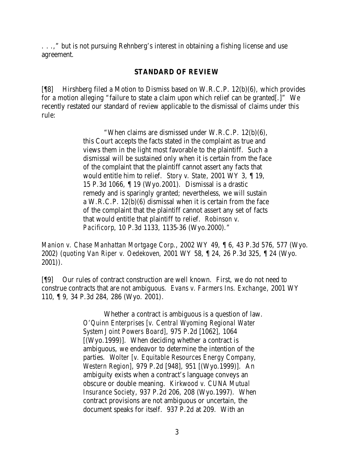. . .," but is not pursuing Rehnberg's interest in obtaining a fishing license and use agreement.

#### **STANDARD OF REVIEW**

[¶8] Hirshberg filed a Motion to Dismiss based on W.R.C.P. 12(b)(6), which provides for a motion alleging "failure to state a claim upon which relief can be granted[.]" We recently restated our standard of review applicable to the dismissal of claims under this rule:

> "When claims are dismissed under W.R.C.P. 12(b)(6), this Court accepts the facts stated in the complaint as true and views them in the light most favorable to the plaintiff. Such a dismissal will be sustained only when it is certain from the face of the complaint that the plaintiff cannot assert any facts that would entitle him to relief. *Story v. State*, 2001 WY 3, ¶ 19, 15 P.3d 1066, ¶ 19 (Wyo.2001). Dismissal is a drastic remedy and is sparingly granted; nevertheless, we will sustain a W.R.C.P. 12(b)(6) dismissal when it is certain from the face of the complaint that the plaintiff cannot assert any set of facts that would entitle that plaintiff to relief. *Robinson v. Pacificorp*, 10 P.3d 1133, 1135-36 (Wyo.2000)."

*Manion v. Chase Manhattan Mortgage Corp*., 2002 WY 49, ¶ 6, 43 P.3d 576, 577 (Wyo. 2002) (*quoting Van Riper v. Oedekoven*, 2001 WY 58, ¶ 24, 26 P.3d 325, ¶ 24 (Wyo. 2001)).

[¶9] Our rules of contract construction are well known. First, we do not need to construe contracts that are not ambiguous. *Evans v. Farmers Ins. Exchange*, 2001 WY 110, ¶ 9, 34 P.3d 284, 286 (Wyo. 2001).

> Whether a contract is ambiguous is a question of law. *O'Quinn Enterprises [v. Central Wyoming Regional Water System Joint Powers Board]*, 975 P.2d [1062], 1064 [(Wyo.1999)]. When deciding whether a contract is ambiguous, we endeavor to determine the intention of the parties. *Wolter [v. Equitable Resources Energy Company, Western Region]*, 979 P.2d [948], 951 [(Wyo.1999)]. An ambiguity exists when a contract's language conveys an obscure or double meaning. *Kirkwood v. CUNA Mutual Insurance Society*, 937 P.2d 206, 208 (Wyo.1997). When contract provisions are not ambiguous or uncertain, the document speaks for itself. 937 P.2d at 209. With an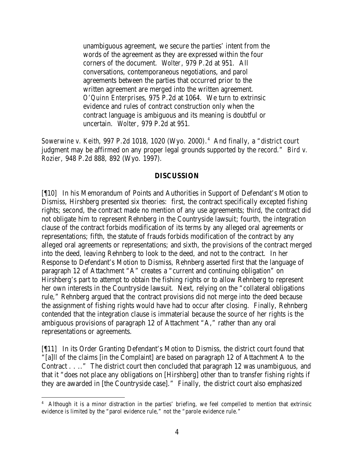unambiguous agreement, we secure the parties' intent from the words of the agreement as they are expressed within the four corners of the document. *Wolter*, 979 P.2d at 951. All conversations, contemporaneous negotiations, and parol agreements between the parties that occurred prior to the written agreement are merged into the written agreement. *O'Quinn Enterprises*, 975 P.2d at 1064. We turn to extrinsic evidence and rules of contract construction only when the contract language is ambiguous and its meaning is doubtful or uncertain. *Wolter*, 979 P.2d at 951.

*Sowerwine v. Keith*, 997 P.2d 1018, 1020 (Wyo. 2000). 4 And finally, a "district court judgment may be affirmed on any proper legal grounds supported by the record." *Bird v. Rozier,* 948 P.2d 888, 892 (Wyo. 1997).

#### **DISCUSSION**

[¶10] In his Memorandum of Points and Authorities in Support of Defendant's Motion to Dismiss, Hirshberg presented six theories: first, the contract specifically excepted fishing rights; second, the contract made no mention of any use agreements; third, the contract did not obligate him to represent Rehnberg in the Countryside lawsuit; fourth, the integration clause of the contract forbids modification of its terms by any alleged oral agreements or representations; fifth, the statute of frauds forbids modification of the contract by any alleged oral agreements or representations; and sixth, the provisions of the contract merged into the deed, leaving Rehnberg to look to the deed, and not to the contract. In her Response to Defendant's Motion to Dismiss, Rehnberg asserted first that the language of paragraph 12 of Attachment "A" creates a "current and continuing obligation" on Hirshberg's part to attempt to obtain the fishing rights or to allow Rehnberg to represent her own interests in the Countryside lawsuit. Next, relying on the "collateral obligations rule," Rehnberg argued that the contract provisions did not merge into the deed because the assignment of fishing rights would have had to occur after closing. Finally, Rehnberg contended that the integration clause is immaterial because the source of her rights is the ambiguous provisions of paragraph 12 of Attachment "A," rather than any oral representations or agreements.

[¶11] In its Order Granting Defendant's Motion to Dismiss, the district court found that "[a]ll of the claims [in the Complaint] are based on paragraph 12 of Attachment A to the Contract . . .." The district court then concluded that paragraph 12 was unambiguous, and that it "does not place any obligations on [Hirshberg] other than to transfer fishing rights if they are awarded in [the Countryside case]." Finally, the district court also emphasized

<sup>&</sup>lt;sup>4</sup> Although it is a minor distraction in the parties' briefing, we feel compelled to mention that extrinsic evidence is limited by the "parol evidence rule," not the "parole evidence rule."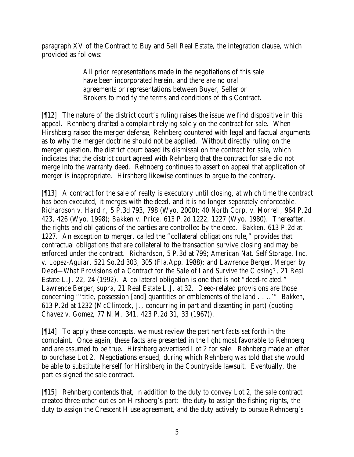paragraph XV of the Contract to Buy and Sell Real Estate, the integration clause, which provided as follows:

> All prior representations made in the negotiations of this sale have been incorporated herein, and there are no oral agreements or representations between Buyer, Seller or Brokers to modify the terms and conditions of this Contract.

[¶12] The nature of the district court's ruling raises the issue we find dispositive in this appeal. Rehnberg drafted a complaint relying solely on the contract for sale. When Hirshberg raised the merger defense, Rehnberg countered with legal and factual arguments as to why the merger doctrine should not be applied. Without directly ruling on the merger question, the district court based its dismissal on the contract for sale, which indicates that the district court agreed with Rehnberg that the contract for sale did not merge into the warranty deed. Rehnberg continues to assert on appeal that application of merger is inappropriate. Hirshberg likewise continues to argue to the contrary.

[¶13] A contract for the sale of realty is executory until closing, at which time the contract has been executed, it merges with the deed, and it is no longer separately enforceable. *Richardson v. Hardin,* 5 P.3d 793, 798 (Wyo. 2000); *40 North Corp. v. Morrell,* 964 P.2d 423, 426 (Wyo. 1998); *Bakken v. Price,* 613 P.2d 1222, 1227 (Wyo. 1980). Thereafter, the rights and obligations of the parties are controlled by the deed. *Bakken,* 613 P.2d at 1227. An exception to merger, called the "collateral obligations rule," provides that contractual obligations that are collateral to the transaction survive closing and may be enforced under the contract. *Richardson*, 5 P.3d at 799; *American Nat. Self Storage, Inc. v. Lopez-Aguiar,* 521 So.2d 303, 305 (Fla.App. 1988); and Lawrence Berger, *Merger by Deed—What Provisions of a Contract for the Sale of Land Survive the Closing?,* 21 Real Estate L.J. 22, 24 (1992). A collateral obligation is one that is not "deed-related." Lawrence Berger, *supra*, 21 Real Estate L.J. at 32. Deed-related provisions are those concerning "'title, possession [and] quantities or emblements of the land . . ..'" *Bakken,*  613 P.2d at 1232 (McClintock, J., concurring in part and dissenting in part) (*quoting Chavez v. Gomez*, 77 N.M. 341, 423 P.2d 31, 33 (1967)).

[¶14] To apply these concepts, we must review the pertinent facts set forth in the complaint. Once again, these facts are presented in the light most favorable to Rehnberg and are assumed to be true. Hirshberg advertised Lot 2 for sale. Rehnberg made an offer to purchase Lot 2. Negotiations ensued, during which Rehnberg was told that she would be able to substitute herself for Hirshberg in the Countryside lawsuit. Eventually, the parties signed the sale contract.

[¶15] Rehnberg contends that, in addition to the duty to convey Lot 2, the sale contract created three other duties on Hirshberg's part: the duty to assign the fishing rights, the duty to assign the Crescent H use agreement, and the duty actively to pursue Rehnberg's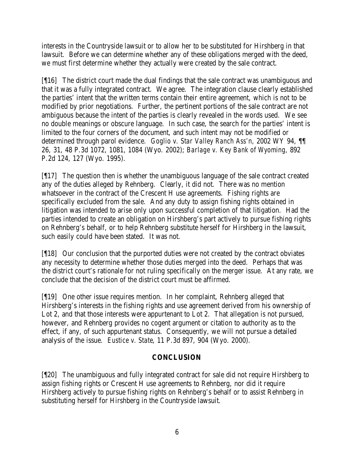interests in the Countryside lawsuit or to allow her to be substituted for Hirshberg in that lawsuit. Before we can determine whether any of these obligations merged with the deed, we must first determine whether they actually were created by the sale contract.

[¶16] The district court made the dual findings that the sale contract was unambiguous and that it was a fully integrated contract. We agree. The integration clause clearly established the parties' intent that the written terms contain their entire agreement, which is not to be modified by prior negotiations. Further, the pertinent portions of the sale contract are not ambiguous because the intent of the parties is clearly revealed in the words used. We see no double meanings or obscure language. In such case, the search for the parties' intent is limited to the four corners of the document, and such intent may not be modified or determined through parol evidence. *Goglio v. Star Valley Ranch Ass'n,* 2002 WY 94, ¶¶ 26, 31, 48 P.3d 1072, 1081, 1084 (Wyo. 2002); *Barlage v. Key Bank of Wyoming,* 892 P.2d 124, 127 (Wyo. 1995).

[¶17] The question then is whether the unambiguous language of the sale contract created any of the duties alleged by Rehnberg. Clearly, it did not. There was no mention whatsoever in the contract of the Crescent H use agreements. Fishing rights are specifically excluded from the sale. And any duty to assign fishing rights obtained in litigation was intended to arise only upon successful completion of that litigation. Had the parties intended to create an obligation on Hirshberg's part actively to pursue fishing rights on Rehnberg's behalf, or to help Rehnberg substitute herself for Hirshberg in the lawsuit, such easily could have been stated. It was not.

[¶18] Our conclusion that the purported duties were not created by the contract obviates any necessity to determine whether those duties merged into the deed. Perhaps that was the district court's rationale for not ruling specifically on the merger issue. At any rate, we conclude that the decision of the district court must be affirmed.

[¶19] One other issue requires mention. In her complaint, Rehnberg alleged that Hirshberg's interests in the fishing rights and use agreement derived from his ownership of Lot 2, and that those interests were appurtenant to Lot 2. That allegation is not pursued, however, and Rehnberg provides no cogent argument or citation to authority as to the effect, if any, of such appurtenant status. Consequently, we will not pursue a detailed analysis of the issue. *Eustice v. State*, 11 P.3d 897, 904 (Wyo. 2000).

### **CONCLUSION**

[¶20] The unambiguous and fully integrated contract for sale did not require Hirshberg to assign fishing rights or Crescent H use agreements to Rehnberg, nor did it require Hirshberg actively to pursue fishing rights on Rehnberg's behalf or to assist Rehnberg in substituting herself for Hirshberg in the Countryside lawsuit.